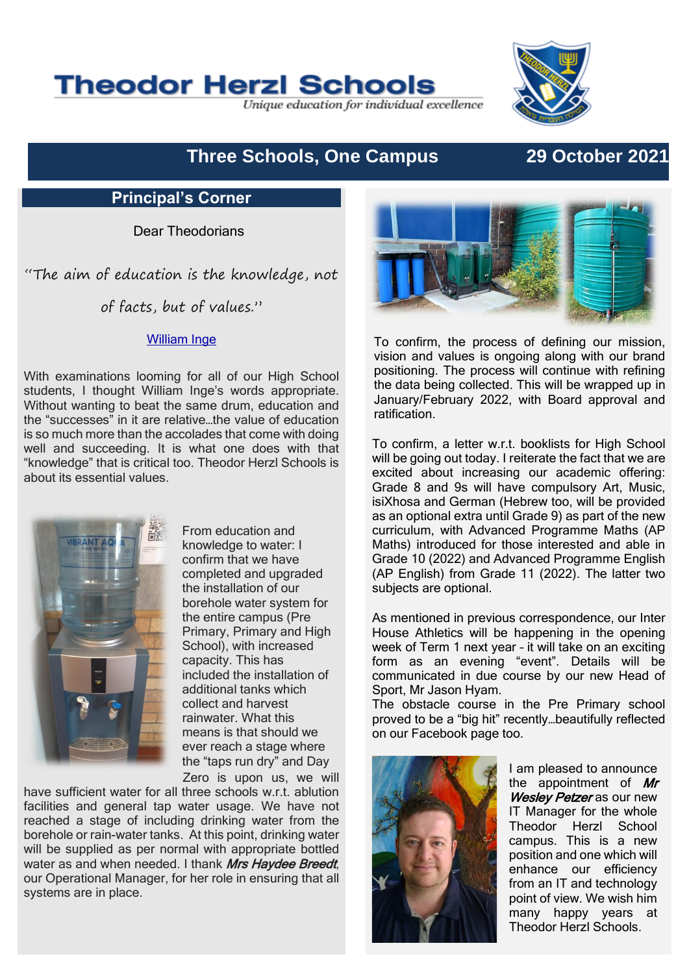

Unique education for individual excellence



# **Three Schools, One Campus 29 October 2021**

## **Principal's Corner**

Dear Theodorians

"The aim of education is the knowledge, not

of facts, but of values."

### [William Inge](https://www.brainyquote.com/authors/william-inge-quotes)

With examinations looming for all of our High School students, I thought William Inge's words appropriate. Without wanting to beat the same drum, education and the "successes" in it are relative…the value of education is so much more than the accolades that come with doing well and succeeding. It is what one does with that "knowledge" that is critical too. Theodor Herzl Schools is about its essential values.



Zero is upon us, we will From education and knowledge to water: I confirm that we have completed and upgraded the installation of our borehole water system for the entire campus (Pre Primary, Primary and High School), with increased capacity. This has included the installation of additional tanks which collect and harvest rainwater. What this means is that should we ever reach a stage where

have sufficient water for all three schools w.r.t. ablution facilities and general tap water usage. We have not reached a stage of including drinking water from the borehole or rain-water tanks. At this point, drinking water will be supplied as per normal with appropriate bottled water as and when needed. I thank Mrs Haydee Breedt, our Operational Manager, for her role in ensuring that all systems are in place.



To confirm, the process of defining our mission, vision and values is ongoing along with our brand positioning. The process will continue with refining the data being collected. This will be wrapped up in January/February 2022, with Board approval and ratification.

To confirm, a letter w.r.t. booklists for High School will be going out today. I reiterate the fact that we are excited about increasing our academic offering: Grade 8 and 9s will have compulsory Art, Music, isiXhosa and German (Hebrew too, will be provided as an optional extra until Grade 9) as part of the new curriculum, with Advanced Programme Maths (AP Maths) introduced for those interested and able in Grade 10 (2022) and Advanced Programme English (AP English) from Grade 11 (2022). The latter two subjects are optional.

As mentioned in previous correspondence, our Inter House Athletics will be happening in the opening week of Term 1 next year – it will take on an exciting form as an evening "event". Details will be communicated in due course by our new Head of Sport, Mr Jason Hyam.

The obstacle course in the Pre Primary school proved to be a "big hit" recently…beautifully reflected on our Facebook page too.



the appointment of  $Mr$ Wesley Petzer as our new IT Manager for the whole Theodor Herzl School campus. This is a new position and one which will enhance our efficiency from an IT and technology point of view. We wish him many happy years at Theodor Herzl Schools.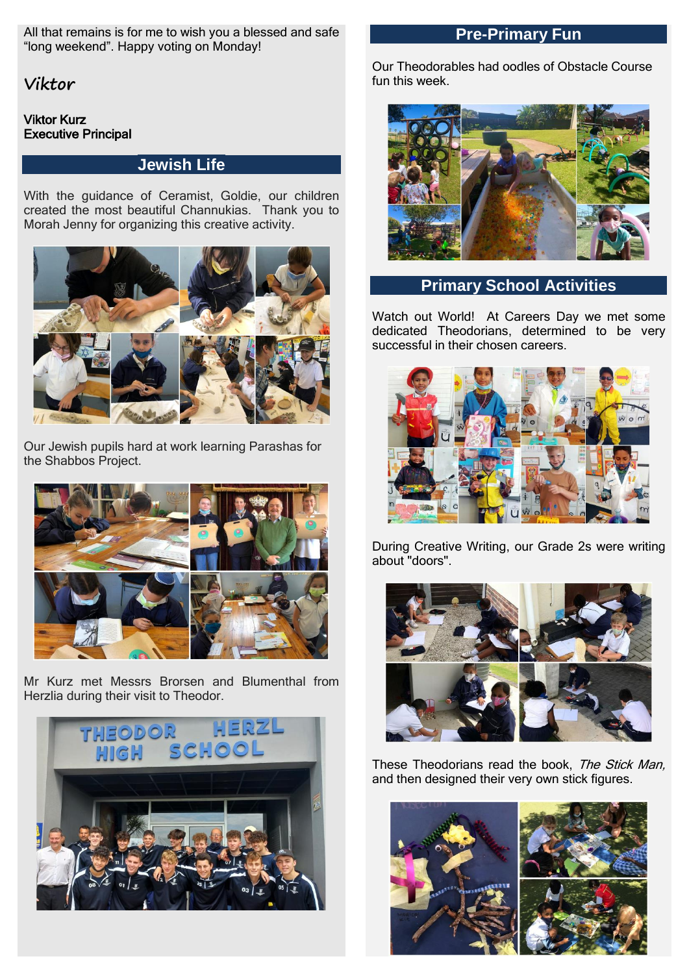All that remains is for me to wish you a blessed and safe "long weekend". Happy voting on Monday!

**Viktor**

### Viktor Kurz Executive Principal

## **Jewish Life**

With the guidance of Ceramist, Goldie, our children created the most beautiful Channukias. Thank you to Morah Jenny for organizing this creative activity.



Our Jewish pupils hard at work learning Parashas for the Shabbos Project.



Mr Kurz met Messrs Brorsen and Blumenthal from Herzlia during their visit to Theodor.



## **Pre-Primary Fun**

Our Theodorables had oodles of Obstacle Course fun this week.



## **Primary School Activities**

Watch out World! At Careers Day we met some dedicated Theodorians, determined to be very successful in their chosen careers.



During Creative Writing, our Grade 2s were writing about "doors".



These Theodorians read the book, The Stick Man, and then designed their very own stick figures.